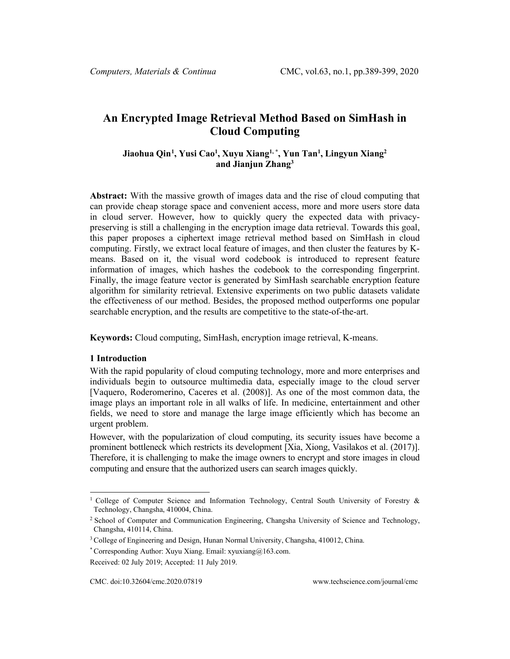# **An Encrypted Image Retrieval Method Based on SimHash in Cloud Computing**

# **Jiaohua Qin[1](#page-0-0) , Yusi Cao1 , Xuyu Xiang1, \* , Yun Tan1 , Lingyun Xiang2 and Jianjun Zhang3**

**Abstract:** With the massive growth of images data and the rise of cloud computing that can provide cheap storage space and convenient access, more and more users store data in cloud server. However, how to quickly query the expected data with privacypreserving is still a challenging in the encryption image data retrieval. Towards this goal, this paper proposes a ciphertext image retrieval method based on SimHash in cloud computing. Firstly, we extract local feature of images, and then cluster the features by Kmeans. Based on it, the visual word codebook is introduced to represent feature information of images, which hashes the codebook to the corresponding fingerprint. Finally, the image feature vector is generated by SimHash searchable encryption feature algorithm for similarity retrieval. Extensive experiments on two public datasets validate the effectiveness of our method. Besides, the proposed method outperforms one popular searchable encryption, and the results are competitive to the state-of-the-art.

**Keywords:** Cloud computing, SimHash, encryption image retrieval, K-means.

## **1 Introduction**

With the rapid popularity of cloud computing technology, more and more enterprises and individuals begin to outsource multimedia data, especially image to the cloud server [Vaquero, Roderomerino, Caceres et al. (2008)]. As one of the most common data, the image plays an important role in all walks of life. In medicine, entertainment and other fields, we need to store and manage the large image efficiently which has become an urgent problem.

However, with the popularization of cloud computing, its security issues have become a prominent bottleneck which restricts its development [Xia, Xiong, Vasilakos et al. (2017)]. Therefore, it is challenging to make the image owners to encrypt and store images in cloud computing and ensure that the authorized users can search images quickly.

<span id="page-0-0"></span><sup>&</sup>lt;sup>1</sup> College of Computer Science and Information Technology, Central South University of Forestry  $\&$ Technology, Changsha, 410004, China.

<sup>2</sup> School of Computer and Communication Engineering, Changsha University of Science and Technology, Changsha, 410114, China.

<sup>&</sup>lt;sup>3</sup> College of Engineering and Design, Hunan Normal University, Changsha, 410012, China.

<sup>\*</sup> Corresponding Author: Xuyu Xiang. Email: xyuxiang@163.com.

Received: 02 July 2019; Accepted: 11 July 2019.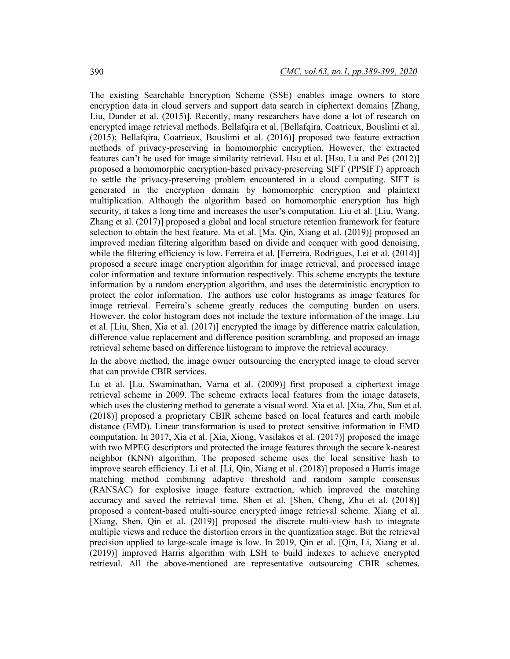The existing Searchable Encryption Scheme (SSE) enables image owners to store encryption data in cloud servers and support data search in ciphertext domains [Zhang, Liu, Dunder et al. (2015)]. Recently, many researchers have done a lot of research on encrypted image retrieval methods. Bellafqira et al. [Bellafqira, Coatrieux, Bouslimi et al. (2015); Bellafqira, Coatrieux, Bouslimi et al. (2016)] proposed two feature extraction methods of privacy-preserving in homomorphic encryption. However, the extracted features can't be used for image similarity retrieval. Hsu et al. [Hsu, Lu and Pei (2012)] proposed a homomorphic encryption-based privacy-preserving SIFT (PPSIFT) approach to settle the privacy-preserving problem encountered in a cloud computing. SIFT is generated in the encryption domain by homomorphic encryption and plaintext multiplication. Although the algorithm based on homomorphic encryption has high security, it takes a long time and increases the user's computation. Liu et al. [Liu, Wang, Zhang et al. (2017)] proposed a global and local structure retention framework for feature selection to obtain the best feature. Ma et al. [Ma, Qin, Xiang et al. (2019)] proposed an improved median filtering algorithm based on divide and conquer with good denoising, while the filtering efficiency is low. Ferreira et al. [Ferreira, Rodrigues, Lei et al. (2014)] proposed a secure image encryption algorithm for image retrieval, and processed image color information and texture information respectively. This scheme encrypts the texture information by a random encryption algorithm, and uses the deterministic encryption to protect the color information. The authors use color histograms as image features for image retrieval. Ferreira's scheme greatly reduces the computing burden on users. However, the color histogram does not include the texture information of the image. Liu et al. [Liu, Shen, Xia et al. (2017)] encrypted the image by difference matrix calculation, difference value replacement and difference position scrambling, and proposed an image retrieval scheme based on difference histogram to improve the retrieval accuracy.

In the above method, the image owner outsourcing the encrypted image to cloud server that can provide CBIR services.

Lu et al. [Lu, Swaminathan, Varna et al. (2009)] first proposed a ciphertext image retrieval scheme in 2009. The scheme extracts local features from the image datasets, which uses the clustering method to generate a visual word. Xia et al. [Xia, Zhu, Sun et al. (2018)] proposed a proprietary CBIR scheme based on local features and earth mobile distance (EMD). Linear transformation is used to protect sensitive information in EMD computation. In 2017, Xia et al. [Xia, Xiong, Vasilakos et al. (2017)] proposed the image with two MPEG descriptors and protected the image features through the secure k-nearest neighbor (KNN) algorithm. The proposed scheme uses the local sensitive hash to improve search efficiency. Li et al. [Li, Qin, Xiang et al. (2018)] proposed a Harris image matching method combining adaptive threshold and random sample consensus (RANSAC) for explosive image feature extraction, which improved the matching accuracy and saved the retrieval time. Shen et al. [Shen, Cheng, Zhu et al. (2018)] proposed a content-based multi-source encrypted image retrieval scheme. Xiang et al. [Xiang, Shen, Qin et al. (2019)] proposed the discrete multi-view hash to integrate multiple views and reduce the distortion errors in the quantization stage. But the retrieval precision applied to large-scale image is low. In 2019, Qin et al. [Qin, Li, Xiang et al. (2019)] improved Harris algorithm with LSH to build indexes to achieve encrypted retrieval. All the above-mentioned are representative outsourcing CBIR schemes.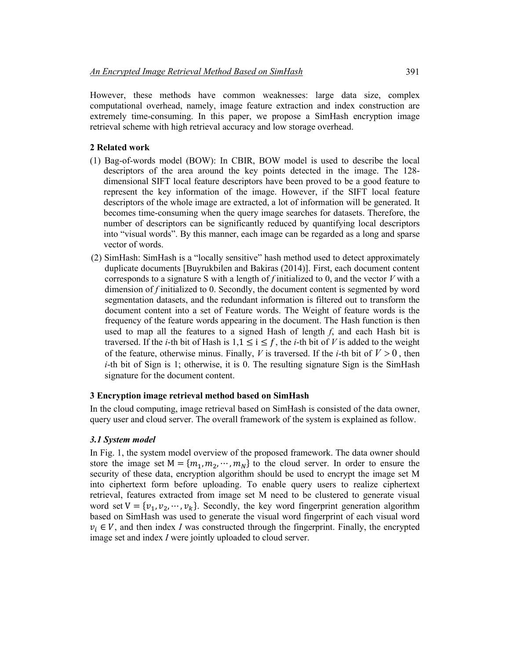However, these methods have common weaknesses: large data size, complex computational overhead, namely, image feature extraction and index construction are extremely time-consuming. In this paper, we propose a SimHash encryption image retrieval scheme with high retrieval accuracy and low storage overhead.

## **2 Related work**

- (1) Bag-of-words model (BOW): In CBIR, BOW model is used to describe the local descriptors of the area around the key points detected in the image. The 128 dimensional SIFT local feature descriptors have been proved to be a good feature to represent the key information of the image. However, if the SIFT local feature descriptors of the whole image are extracted, a lot of information will be generated. It becomes time-consuming when the query image searches for datasets. Therefore, the number of descriptors can be significantly reduced by quantifying local descriptors into "visual words". By this manner, each image can be regarded as a long and sparse vector of words.
- (2) SimHash: SimHash is a "locally sensitive" hash method used to detect approximately duplicate documents [Buyrukbilen and Bakiras (2014)]. First, each document content corresponds to a signature S with a length of *f* initialized to 0, and the vector *V* with a dimension of *f* initialized to 0. Secondly, the document content is segmented by word segmentation datasets, and the redundant information is filtered out to transform the document content into a set of Feature words. The Weight of feature words is the frequency of the feature words appearing in the document. The Hash function is then used to map all the features to a signed Hash of length *f*, and each Hash bit is traversed. If the *i*-th bit of Hash is  $1, 1 \le i \le f$ , the *i*-th bit of *V* is added to the weight of the feature, otherwise minus. Finally, *V* is traversed. If the *i*-th bit of  $V > 0$ , then *i*-th bit of Sign is 1; otherwise, it is 0. The resulting signature Sign is the SimHash signature for the document content.

#### **3 Encryption image retrieval method based on SimHash**

In the cloud computing, image retrieval based on SimHash is consisted of the data owner, query user and cloud server. The overall framework of the system is explained as follow.

#### *3.1 System model*

In Fig. 1, the system model overview of the proposed framework. The data owner should store the image set  $M = \{m_1, m_2, \dots, m_N\}$  to the cloud server. In order to ensure the security of these data, encryption algorithm should be used to encrypt the image set M into ciphertext form before uploading. To enable query users to realize ciphertext retrieval, features extracted from image set M need to be clustered to generate visual word set  $V = \{v_1, v_2, \dots, v_k\}$ . Secondly, the key word fingerprint generation algorithm based on SimHash was used to generate the visual word fingerprint of each visual word  $v_i \in V$ , and then index *I* was constructed through the fingerprint. Finally, the encrypted image set and index *I* were jointly uploaded to cloud server.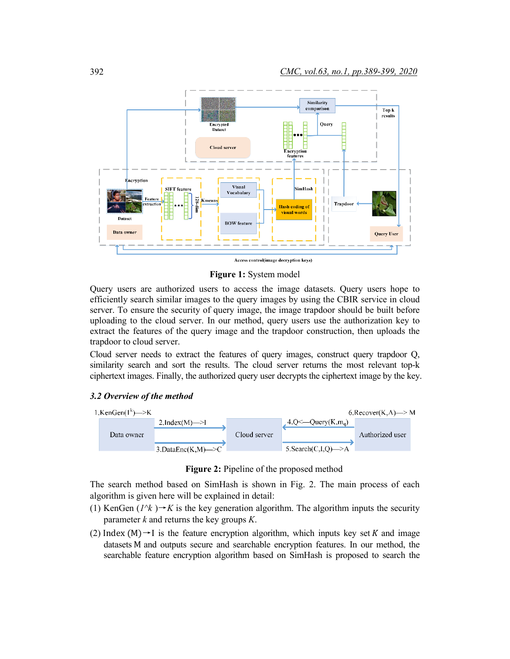

**Figure 1:** System model

Query users are authorized users to access the image datasets. Query users hope to efficiently search similar images to the query images by using the CBIR service in cloud server. To ensure the security of query image, the image trapdoor should be built before uploading to the cloud server. In our method, query users use the authorization key to extract the features of the query image and the trapdoor construction, then uploads the trapdoor to cloud server.

Cloud server needs to extract the features of query images, construct query trapdoor Q, similarity search and sort the results. The cloud server returns the most relevant top-k ciphertext images. Finally, the authorized query user decrypts the ciphertext image by the key.

#### *3.2 Overview of the method*



**Figure 2:** Pipeline of the proposed method

The search method based on SimHash is shown in Fig. 2. The main process of each algorithm is given here will be explained in detail:

- (1) KenGen  $(I^{\wedge}k) \rightarrow K$  is the key generation algorithm. The algorithm inputs the security parameter *k* and returns the key groups *K*.
- (2) Index  $(M) \rightarrow I$  is the feature encryption algorithm, which inputs key set K and image datasets M and outputs secure and searchable encryption features. In our method, the searchable feature encryption algorithm based on SimHash is proposed to search the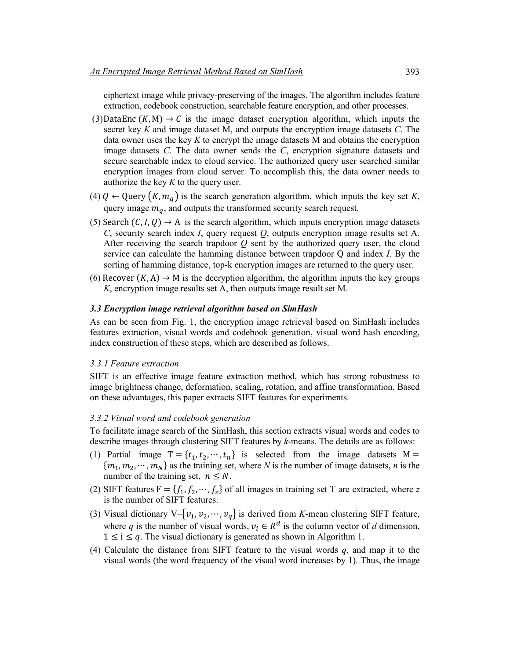ciphertext image while privacy-preserving of the images. The algorithm includes feature extraction, codebook construction, searchable feature encryption, and other processes.

- (3)DataEnc  $(K, M) \rightarrow C$  is the image dataset encryption algorithm, which inputs the secret key *K* and image dataset M, and outputs the encryption image datasets *C*. The data owner uses the key *K* to encrypt the image datasets M and obtains the encryption image datasets *C*. The data owner sends the *C*, encryption signature datasets and secure searchable index to cloud service. The authorized query user searched similar encryption images from cloud server. To accomplish this, the data owner needs to authorize the key *K* to the query user.
- (4)  $Q \leftarrow$  Query  $(K, m_q)$  is the search generation algorithm, which inputs the key set *K*, query image  $m_q$ , and outputs the transformed security search request.
- (5) Search  $(C, I, Q) \rightarrow A$  is the search algorithm, which inputs encryption image datasets *C*, security search index *I*, query request *Q*, outputs encryption image results set A. After receiving the search trapdoor *Q* sent by the authorized query user, the cloud service can calculate the hamming distance between trapdoor Q and index *I*. By the sorting of hamming distance, top-k encryption images are returned to the query user.
- (6) Recover  $(K, A) \rightarrow M$  is the decryption algorithm, the algorithm inputs the key groups *K*, encryption image results set A, then outputs image result set M.

#### *3.3 Encryption image retrieval algorithm based on SimHash*

As can be seen from Fig. 1, the encryption image retrieval based on SimHash includes features extraction, visual words and codebook generation, visual word hash encoding, index construction of these steps, which are described as follows.

## *3.3.1 Feature extraction*

SIFT is an effective image feature extraction method, which has strong robustness to image brightness change, deformation, scaling, rotation, and affine transformation. Based on these advantages, this paper extracts SIFT features for experiments.

## *3.3.2 Visual word and codebook generation*

To facilitate image search of the SimHash, this section extracts visual words and codes to describe images through clustering SIFT features by *k*-means. The details are as follows:

- (1) Partial image  $T = \{t_1, t_2, \dots, t_n\}$  is selected from the image datasets  $M =$  ${m_1, m_2, \dots, m_N}$  as the training set, where *N* is the number of image datasets, *n* is the number of the training set,  $n \leq N$ .
- (2) SIFT features  $F = \{f_1, f_2, \dots, f_z\}$  of all images in training set T are extracted, where z is the number of SIFT features.
- (3) Visual dictionary  $V = \{v_1, v_2, \dots, v_q\}$  is derived from *K*-mean clustering SIFT feature, where *q* is the number of visual words,  $v_i \in R^d$  is the column vector of *d* dimension,  $1 \le i \le q$ . The visual dictionary is generated as shown in Algorithm 1.
- (4) Calculate the distance from SIFT feature to the visual words *q*, and map it to the visual words (the word frequency of the visual word increases by 1). Thus, the image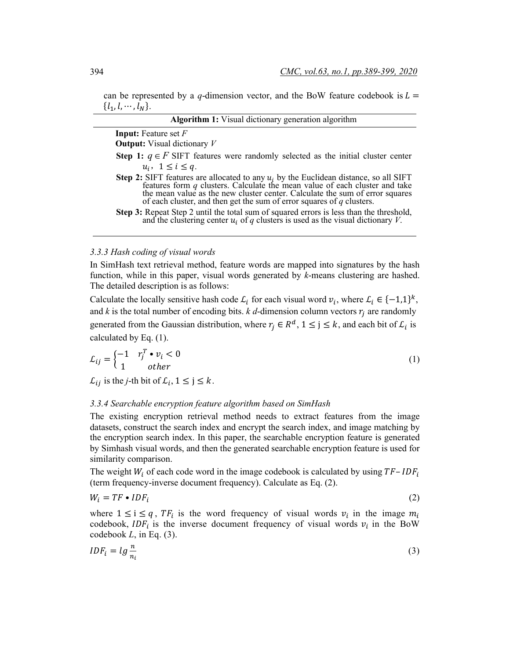can be represented by a *q*-dimension vector, and the BoW feature codebook is  $L =$  $\{l_1, l, \cdots, l_N\}.$ **Algorithm 1:** Visual dictionary generation algorithm

| Algoritum 1. Visual dictionaly generation algoritum                                                                                                                                                                                                                                                                                   |  |
|---------------------------------------------------------------------------------------------------------------------------------------------------------------------------------------------------------------------------------------------------------------------------------------------------------------------------------------|--|
| <b>Input:</b> Feature set $F$                                                                                                                                                                                                                                                                                                         |  |
| <b>Output:</b> Visual dictionary $V$                                                                                                                                                                                                                                                                                                  |  |
| <b>Step 1:</b> $q \in F$ SIFT features were randomly selected as the initial cluster center<br>$u_i$ , $1 \leq i \leq q$ .                                                                                                                                                                                                            |  |
| <b>Step 2:</b> SIFT features are allocated to any $u_i$ by the Euclidean distance, so all SIFT features form q clusters. Calculate the mean value of each cluster and take<br>the mean value as the new cluster center. Calculate the sum of error squares<br>of each cluster, and then get the sum of error squares of $q$ clusters. |  |
| Step 3: Repeat Step 2 until the total sum of squared errors is less than the threshold,<br>and the clustering center $u_i$ of q clusters is used as the visual dictionary V.                                                                                                                                                          |  |

#### *3.3.3 Hash coding of visual words*

In SimHash text retrieval method, feature words are mapped into signatures by the hash function, while in this paper, visual words generated by *k*-means clustering are hashed. The detailed description is as follows:

Calculate the locally sensitive hash code  $\mathcal{L}_i$  for each visual word  $v_i$ , where  $\mathcal{L}_i \in \{-1,1\}^k$ , and  $k$  is the total number of encoding bits.  $k$  *d*-dimension column vectors  $r_i$  are randomly generated from the Gaussian distribution, where  $r_i \in R^d$ ,  $1 \le j \le k$ , and each bit of  $\mathcal{L}_i$  is calculated by Eq. (1).

$$
\mathcal{L}_{ij} = \begin{cases} -1 & r_j^T \cdot v_i < 0 \\ 1 & \text{other} \end{cases} \tag{1}
$$

 $\mathcal{L}_{ij}$  is the *j*-th bit of  $\mathcal{L}_i$ ,  $1 \le j \le k$ .

#### *3.3.4 Searchable encryption feature algorithm based on SimHash*

The existing encryption retrieval method needs to extract features from the image datasets, construct the search index and encrypt the search index, and image matching by the encryption search index. In this paper, the searchable encryption feature is generated by Simhash visual words, and then the generated searchable encryption feature is used for similarity comparison.

The weight  $W_i$  of each code word in the image codebook is calculated by using  $TF - IDF_i$ (term frequency-inverse document frequency). Calculate as Eq. (2).

$$
W_i = TF \bullet IDF_i \tag{2}
$$

where  $1 \le i \le q$ ,  $TF_i$  is the word frequency of visual words  $v_i$  in the image  $m_i$ codebook, IDF<sub>i</sub> is the inverse document frequency of visual words  $v_i$  in the BoW codebook *L*, in Eq. (3).

$$
IDF_i = lg \frac{n}{n_i} \tag{3}
$$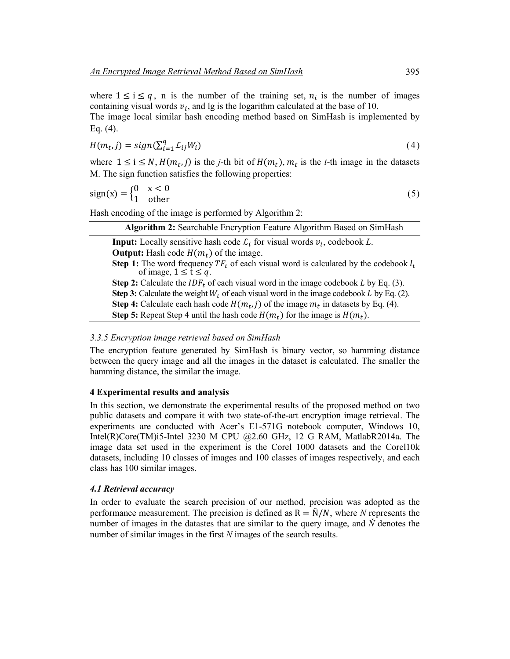where  $1 \le i \le q$ , n is the number of the training set,  $n_i$  is the number of images containing visual words  $v_i$ , and lg is the logarithm calculated at the base of 10.

The image local similar hash encoding method based on SimHash is implemented by Eq. (4).

$$
H(m_t, j) = sign(\sum_{i=1}^{q} L_{ij}W_i)
$$
\n<sup>(4)</sup>

where  $1 \le i \le N$ ,  $H(m_t, j)$  is the *j*-th bit of  $H(m_t)$ ,  $m_t$  is the *t*-th image in the datasets M. The sign function satisfies the following properties:

$$
sign(x) = \begin{cases} 0 & x < 0 \\ 1 & other \end{cases}
$$
 (5)

Hash encoding of the image is performed by Algorithm 2:

| Algorithm 2: Searchable Encryption Feature Algorithm Based on SimHash                                                                   |
|-----------------------------------------------------------------------------------------------------------------------------------------|
| <b>Input:</b> Locally sensitive hash code $\mathcal{L}_i$ for visual words $v_i$ , codebook L.                                          |
| <b>Output:</b> Hash code $H(m_t)$ of the image.                                                                                         |
| <b>Step 1:</b> The word frequency $TF_t$ of each visual word is calculated by the codebook $l_t$<br>of image, $1 \leq \bar{t} \leq q$ . |
| <b>Step 2:</b> Calculate the $IDF_t$ of each visual word in the image codebook L by Eq. (3).                                            |
| <b>Step 3:</b> Calculate the weight $W_t$ of each visual word in the image codebook L by Eq. (2).                                       |
| <b>Step 4:</b> Calculate each hash code $H(m_t, j)$ of the image $m_t$ in datasets by Eq. (4).                                          |
| <b>Step 5:</b> Repeat Step 4 until the hash code $H(m_t)$ for the image is $H(m_t)$ .                                                   |
|                                                                                                                                         |

## *3.3.5 Encryption image retrieval based on SimHash*

The encryption feature generated by SimHash is binary vector, so hamming distance between the query image and all the images in the dataset is calculated. The smaller the hamming distance, the similar the image.

## **4 Experimental results and analysis**

In this section, we demonstrate the experimental results of the proposed method on two public datasets and compare it with two state-of-the-art encryption image retrieval. The experiments are conducted with Acer's E1-571G notebook computer, Windows 10, Intel(R)Core(TM)i5-Intel 3230 M CPU @2.60 GHz, 12 G RAM, MatlabR2014a. The image data set used in the experiment is the Corel 1000 datasets and the Corel10k datasets, including 10 classes of images and 100 classes of images respectively, and each class has 100 similar images.

## *4.1 Retrieval accuracy*

In order to evaluate the search precision of our method, precision was adopted as the performance measurement. The precision is defined as  $R = N/N$ , where N represents the number of images in the datastes that are similar to the query image, and *Ň* denotes the number of similar images in the first *N* images of the search results.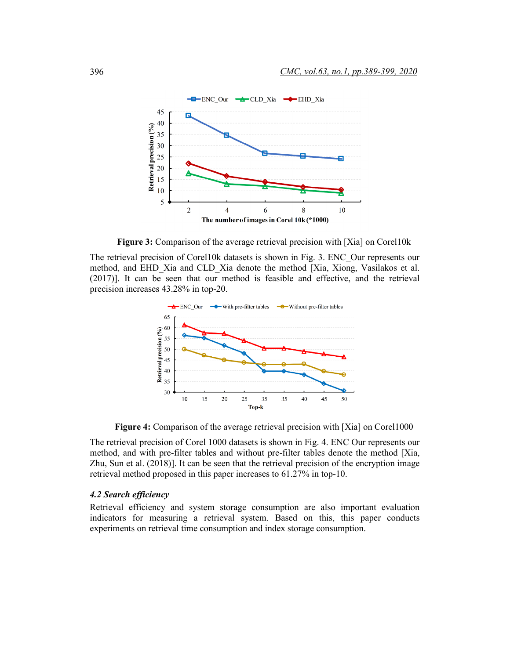

**Figure 3:** Comparison of the average retrieval precision with [Xia] on Corel10k

The retrieval precision of Corel10k datasets is shown in Fig. 3. ENC\_Our represents our method, and EHD\_Xia and CLD\_Xia denote the method [Xia, Xiong, Vasilakos et al. (2017)]. It can be seen that our method is feasible and effective, and the retrieval precision increases 43.28% in top-20.



**Figure 4:** Comparison of the average retrieval precision with [Xia] on Corel1000

The retrieval precision of Corel 1000 datasets is shown in Fig. 4. ENC Our represents our method, and with pre-filter tables and without pre-filter tables denote the method [Xia, Zhu, Sun et al. (2018)]. It can be seen that the retrieval precision of the encryption image retrieval method proposed in this paper increases to 61.27% in top-10.

## *4.2 Search efficiency*

Retrieval efficiency and system storage consumption are also important evaluation indicators for measuring a retrieval system. Based on this, this paper conducts experiments on retrieval time consumption and index storage consumption.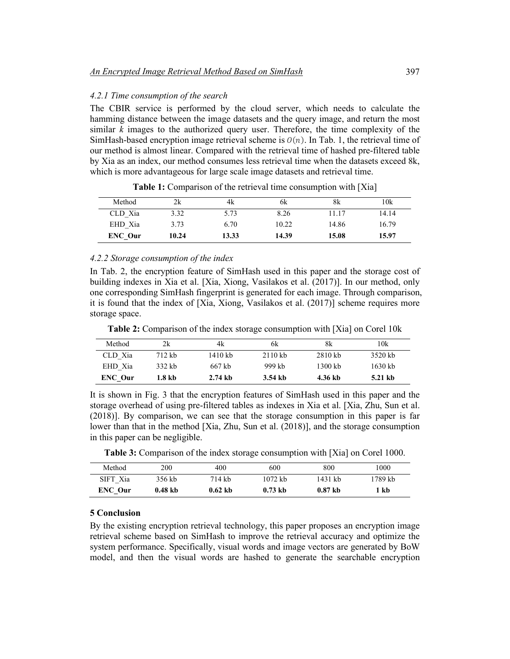## *4.2.1 Time consumption of the search*

The CBIR service is performed by the cloud server, which needs to calculate the hamming distance between the image datasets and the query image, and return the most similar  $\overline{k}$  images to the authorized query user. Therefore, the time complexity of the SimHash-based encryption image retrieval scheme is  $O(n)$ . In Tab. 1, the retrieval time of our method is almost linear. Compared with the retrieval time of hashed pre-filtered table by Xia as an index, our method consumes less retrieval time when the datasets exceed 8k, which is more advantageous for large scale image datasets and retrieval time.

| Method  | 2k    | 4k    | 6k    | 8k    | 10k   |
|---------|-------|-------|-------|-------|-------|
| CLD Xia | 3.32  | 5.73  | 8.26  | 11.17 | 14.14 |
| EHD Xia | 3.73  | 6.70  | 10.22 | 14.86 | 16.79 |
| ENC Our | 10.24 | 13.33 | 14.39 | 15.08 | 15.97 |

**Table 1:** Comparison of the retrieval time consumption with [Xia]

## *4.2.2 Storage consumption of the index*

In Tab. 2, the encryption feature of SimHash used in this paper and the storage cost of building indexes in Xia et al. [Xia, Xiong, Vasilakos et al. (2017)]. In our method, only one corresponding SimHash fingerprint is generated for each image. Through comparison, it is found that the index of [Xia, Xiong, Vasilakos et al. (2017)] scheme requires more storage space.

**Table 2:** Comparison of the index storage consumption with [Xia] on Corel 10k

| Method  | 2k     | 4k                 | 6k        | 8k        | 10k     |
|---------|--------|--------------------|-----------|-----------|---------|
| CLD Xia | 712 kb | 1410 kb            | $2110$ kb | $2810$ kb | 3520 kb |
| EHD Xia | 332 kb | 667 kb             | 999 kh    | 1300 kb   | 1630 kb |
| ENC Our | 1.8 kb | $2.74 \mathrm{kb}$ | 3.54 kb   | 4.36 kb   | 5.21 kb |

It is shown in Fig. 3 that the encryption features of SimHash used in this paper and the storage overhead of using pre-filtered tables as indexes in Xia et al. [Xia, Zhu, Sun et al. (2018)]. By comparison, we can see that the storage consumption in this paper is far lower than that in the method [Xia, Zhu, Sun et al. (2018)], and the storage consumption in this paper can be negligible.

**Table 3:** Comparison of the index storage consumption with [Xia] on Corel 1000.

| Method   | 200       | 400       | 600       | 800       | 1000    |
|----------|-----------|-----------|-----------|-----------|---------|
| SIFT Xia | 356 kb    | 714 kb    | 1072 kb   | 1431 kb   | 1789 kb |
| ENC Our  | $0.48$ kb | $0.62$ kb | $0.73$ kb | $0.87$ kb | ` kb    |

## **5 Conclusion**

By the existing encryption retrieval technology, this paper proposes an encryption image retrieval scheme based on SimHash to improve the retrieval accuracy and optimize the system performance. Specifically, visual words and image vectors are generated by BoW model, and then the visual words are hashed to generate the searchable encryption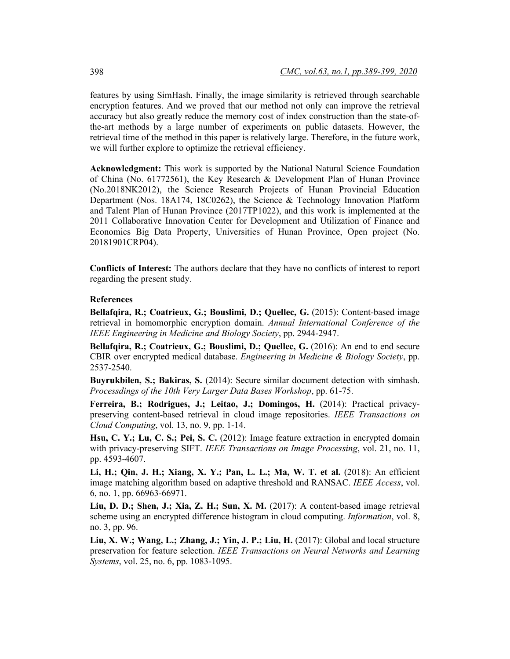features by using SimHash. Finally, the image similarity is retrieved through searchable encryption features. And we proved that our method not only can improve the retrieval accuracy but also greatly reduce the memory cost of index construction than the state-ofthe-art methods by a large number of experiments on public datasets. However, the retrieval time of the method in this paper is relatively large. Therefore, in the future work, we will further explore to optimize the retrieval efficiency.

**Acknowledgment:** This work is supported by the National Natural Science Foundation of China (No. 61772561), the Key Research & Development Plan of Hunan Province (No.2018NK2012), the Science Research Projects of Hunan Provincial Education Department (Nos. 18A174, 18C0262), the Science & Technology Innovation Platform and Talent Plan of Hunan Province (2017TP1022), and this work is implemented at the 2011 Collaborative Innovation Center for Development and Utilization of Finance and Economics Big Data Property, Universities of Hunan Province, Open project (No. 20181901CRP04).

**Conflicts of Interest:** The authors declare that they have no conflicts of interest to report regarding the present study.

#### **References**

**Bellafqira, R.; Coatrieux, G.; Bouslimi, D.; Quellec, G.** (2015): Content-based image retrieval in homomorphic encryption domain. *Annual International Conference of the IEEE Engineering in Medicine and Biology Society*, pp. 2944-2947.

**Bellafqira, R.; Coatrieux, G.; Bouslimi, D.; Quellec, G.** (2016): An end to end secure CBIR over encrypted medical database. *Engineering in Medicine & Biology Society*, pp. 2537-2540.

**Buyrukbilen, S.; Bakiras, S.** (2014): Secure similar document detection with simhash. *Processdings of the 10th Very Larger Data Bases Workshop*, pp. 61-75.

**Ferreira, B.; Rodrigues, J.; Leitao, J.; Domingos, H.** (2014): Practical privacypreserving content-based retrieval in cloud image repositories. *IEEE Transactions on Cloud Computing*, vol. 13, no. 9, pp. 1-14.

**Hsu, C. Y.; Lu, C. S.; Pei, S. C.** (2012): Image feature extraction in encrypted domain with privacy-preserving SIFT. *IEEE Transactions on Image Processing*, vol. 21, no. 11, pp. 4593-4607.

**Li, H.; Qin, J. H.; Xiang, X. Y.; Pan, L. L.; Ma, W. T. et al.** (2018): An efficient image matching algorithm based on adaptive threshold and RANSAC. *IEEE Access*, vol. 6, no. 1, pp. 66963-66971.

**Liu, D. D.; Shen, J.; Xia, Z. H.; Sun, X. M.** (2017): A content-based image retrieval scheme using an encrypted difference histogram in cloud computing. *Information*, vol. 8, no. 3, pp. 96.

**Liu, X. W.; Wang, L.; Zhang, J.; Yin, J. P.; Liu, H.** (2017): Global and local structure preservation for feature selection. *IEEE Transactions on Neural Networks and Learning Systems*, vol. 25, no. 6, pp. 1083-1095.